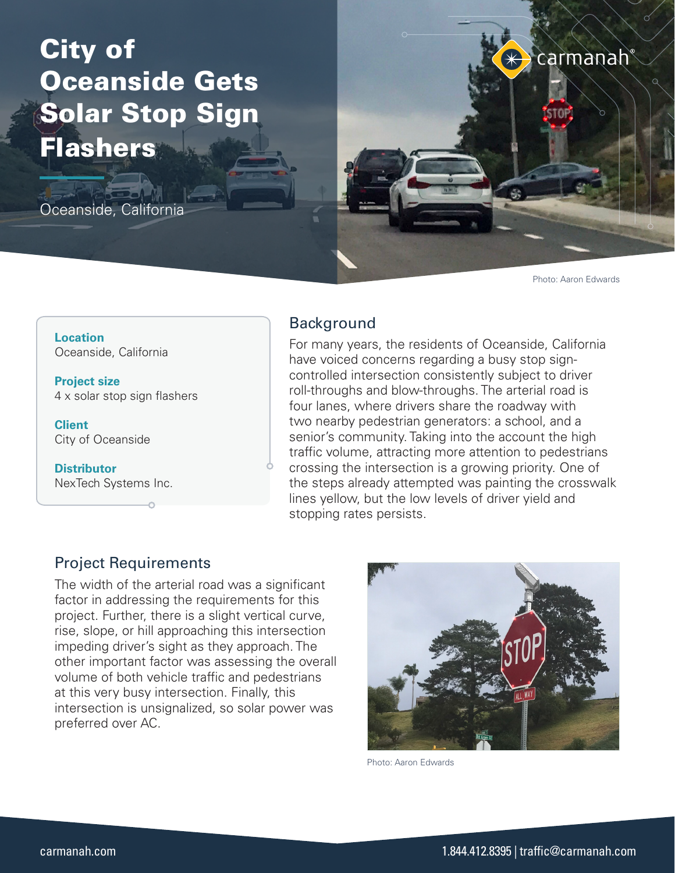# City of Oceanside Gets Solar Stop Sign Flashers

Oceanside, California

carmanah

Photo: Aaron Edwards

**Location** Oceanside, California

**Project size** 4 x solar stop sign flashers

**Client** City of Oceanside

**Distributor** NexTech Systems Inc.

## **Background**

For many years, the residents of Oceanside, California have voiced concerns regarding a busy stop signcontrolled intersection consistently subject to driver roll-throughs and blow-throughs. The arterial road is four lanes, where drivers share the roadway with two nearby pedestrian generators: a school, and a senior's community. Taking into the account the high traffic volume, attracting more attention to pedestrians crossing the intersection is a growing priority. One of the steps already attempted was painting the crosswalk lines yellow, but the low levels of driver yield and stopping rates persists.

## Project Requirements

The width of the arterial road was a significant factor in addressing the requirements for this project. Further, there is a slight vertical curve, rise, slope, or hill approaching this intersection impeding driver's sight as they approach. The other important factor was assessing the overall volume of both vehicle traffic and pedestrians at this very busy intersection. Finally, this intersection is unsignalized, so solar power was preferred over AC.



Photo: Aaron Edwards